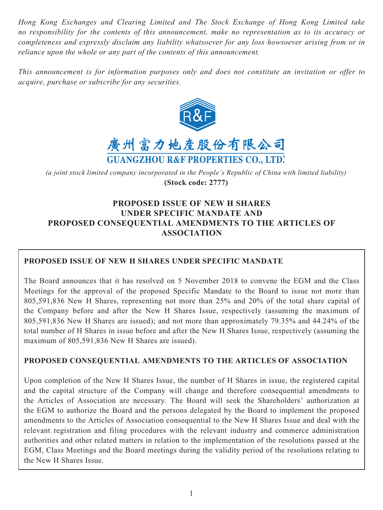*Hong Kong Exchanges and Clearing Limited and The Stock Exchange of Hong Kong Limited take no responsibility for the contents of this announcement, make no representation as to its accuracy or completeness and expressly disclaim any liability whatsoever for any loss howsoever arising from or in reliance upon the whole or any part of the contents of this announcement.*

*This announcement is for information purposes only and does not constitute an invitation or offer to acquire, purchase or subscribe for any securities.*





*(a joint stock limited company incorporated in the People's Republic of China with limited liability)* **(Stock code: 2777)**

# **PROPOSED ISSUE OF NEW H SHARES UNDER SPECIFIC MANDATE AND PROPOSED CONSEQUENTIAL AMENDMENTS TO THE ARTICLES OF ASSOCIATION**

# **PROPOSED ISSUE OF NEW H SHARES UNDER SPECIFIC MANDATE**

The Board announces that it has resolved on 5 November 2018 to convene the EGM and the Class Meetings for the approval of the proposed Specific Mandate to the Board to issue not more than 805,591,836 New H Shares, representing not more than 25% and 20% of the total share capital of the Company before and after the New H Shares Issue, respectively (assuming the maximum of 805,591,836 New H Shares are issued); and not more than approximately 79.35% and 44.24% of the total number of H Shares in issue before and after the New H Shares Issue, respectively (assuming the maximum of 805,591,836 New H Shares are issued).

# **PROPOSED CONSEQUENTIAL AMENDMENTS TO THE ARTICLES OF ASSOCIATION**

Upon completion of the New H Shares Issue, the number of H Shares in issue, the registered capital and the capital structure of the Company will change and therefore consequential amendments to the Articles of Association are necessary. The Board will seek the Shareholders' authorization at the EGM to authorize the Board and the persons delegated by the Board to implement the proposed amendments to the Articles of Association consequential to the New H Shares Issue and deal with the relevant registration and filing procedures with the relevant industry and commerce administration authorities and other related matters in relation to the implementation of the resolutions passed at the EGM, Class Meetings and the Board meetings during the validity period of the resolutions relating to the New H Shares Issue.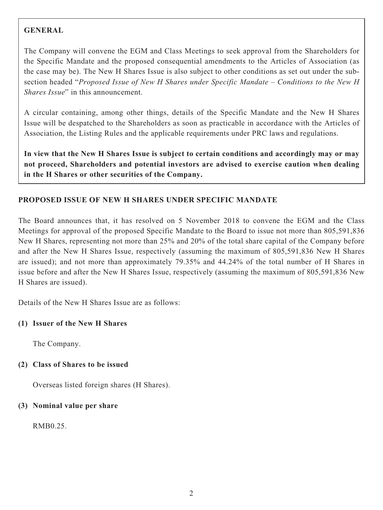# **GENERAL**

The Company will convene the EGM and Class Meetings to seek approval from the Shareholders for the Specific Mandate and the proposed consequential amendments to the Articles of Association (as the case may be). The New H Shares Issue is also subject to other conditions as set out under the subsection headed "*Proposed Issue of New H Shares under Specific Mandate – Conditions to the New H Shares Issue*" in this announcement.

A circular containing, among other things, details of the Specific Mandate and the New H Shares Issue will be despatched to the Shareholders as soon as practicable in accordance with the Articles of Association, the Listing Rules and the applicable requirements under PRC laws and regulations.

**In view that the New H Shares Issue is subject to certain conditions and accordingly may or may not proceed, Shareholders and potential investors are advised to exercise caution when dealing in the H Shares or other securities of the Company.**

# **PROPOSED ISSUE OF NEW H SHARES UNDER SPECIFIC MANDATE**

The Board announces that, it has resolved on 5 November 2018 to convene the EGM and the Class Meetings for approval of the proposed Specific Mandate to the Board to issue not more than 805,591,836 New H Shares, representing not more than 25% and 20% of the total share capital of the Company before and after the New H Shares Issue, respectively (assuming the maximum of 805,591,836 New H Shares are issued); and not more than approximately 79.35% and 44.24% of the total number of H Shares in issue before and after the New H Shares Issue, respectively (assuming the maximum of 805,591,836 New H Shares are issued).

Details of the New H Shares Issue are as follows:

## **(1) Issuer of the New H Shares**

The Company.

## **(2) Class of Shares to be issued**

Overseas listed foreign shares (H Shares).

## **(3) Nominal value per share**

RMB0.25.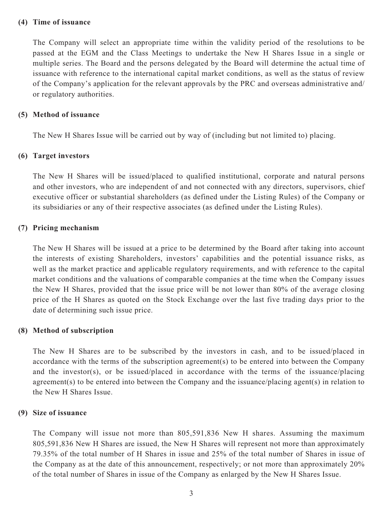#### **(4) Time of issuance**

The Company will select an appropriate time within the validity period of the resolutions to be passed at the EGM and the Class Meetings to undertake the New H Shares Issue in a single or multiple series. The Board and the persons delegated by the Board will determine the actual time of issuance with reference to the international capital market conditions, as well as the status of review of the Company's application for the relevant approvals by the PRC and overseas administrative and/ or regulatory authorities.

#### **(5) Method of issuance**

The New H Shares Issue will be carried out by way of (including but not limited to) placing.

### **(6) Target investors**

The New H Shares will be issued/placed to qualified institutional, corporate and natural persons and other investors, who are independent of and not connected with any directors, supervisors, chief executive officer or substantial shareholders (as defined under the Listing Rules) of the Company or its subsidiaries or any of their respective associates (as defined under the Listing Rules).

### **(7) Pricing mechanism**

The New H Shares will be issued at a price to be determined by the Board after taking into account the interests of existing Shareholders, investors' capabilities and the potential issuance risks, as well as the market practice and applicable regulatory requirements, and with reference to the capital market conditions and the valuations of comparable companies at the time when the Company issues the New H Shares, provided that the issue price will be not lower than 80% of the average closing price of the H Shares as quoted on the Stock Exchange over the last five trading days prior to the date of determining such issue price.

#### **(8) Method of subscription**

The New H Shares are to be subscribed by the investors in cash, and to be issued/placed in accordance with the terms of the subscription agreement(s) to be entered into between the Company and the investor(s), or be issued/placed in accordance with the terms of the issuance/placing agreement(s) to be entered into between the Company and the issuance/placing agent(s) in relation to the New H Shares Issue.

#### **(9) Size of issuance**

The Company will issue not more than 805,591,836 New H shares. Assuming the maximum 805,591,836 New H Shares are issued, the New H Shares will represent not more than approximately 79.35% of the total number of H Shares in issue and 25% of the total number of Shares in issue of the Company as at the date of this announcement, respectively; or not more than approximately 20% of the total number of Shares in issue of the Company as enlarged by the New H Shares Issue.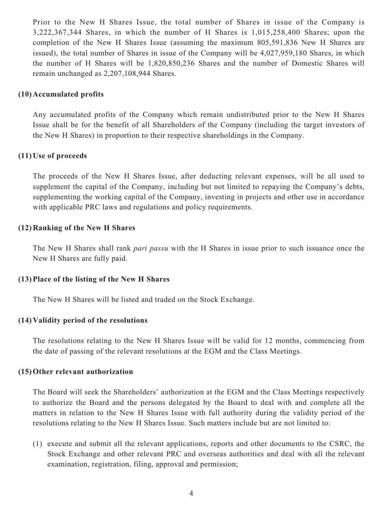Prior to the New H Shares Issue, the total number of Shares in issue of the Company is 3,222,367,344 Shares, in which the number of H Shares is 1,015,258,400 Shares; upon the completion of the New H Shares Issue (assuming the maximum 805,591,836 New H Shares are issued), the total number of Shares in issue of the Company will be 4,027,959,180 Shares, in which the number of H Shares will be 1,820,850,236 Shares and the number of Domestic Shares will remain unchanged as 2,207,108,944 Shares.

### **(10) Accumulated profits**

Any accumulated profits of the Company which remain undistributed prior to the New H Shares Issue shall be for the benefit of all Shareholders of the Company (including the target investors of the New H Shares) in proportion to their respective shareholdings in the Company.

### **(11) Use of proceeds**

The proceeds of the New H Shares Issue, after deducting relevant expenses, will be all used to supplement the capital of the Company, including but not limited to repaying the Company's debts, supplementing the working capital of the Company, investing in projects and other use in accordance with applicable PRC laws and regulations and policy requirements.

### **(12) Ranking of the New H Shares**

The New H Shares shall rank *pari passu* with the H Shares in issue prior to such issuance once the New H Shares are fully paid.

### **(13) Place of the listing of the New H Shares**

The New H Shares will be listed and traded on the Stock Exchange.

## **(14) Validity period of the resolutions**

The resolutions relating to the New H Shares Issue will be valid for 12 months, commencing from the date of passing of the relevant resolutions at the EGM and the Class Meetings.

### **(15) Other relevant authorization**

The Board will seek the Shareholders' authorization at the EGM and the Class Meetings respectively to authorize the Board and the persons delegated by the Board to deal with and complete all the matters in relation to the New H Shares Issue with full authority during the validity period of the resolutions relating to the New H Shares Issue. Such matters include but are not limited to:

(1) execute and submit all the relevant applications, reports and other documents to the CSRC, the Stock Exchange and other relevant PRC and overseas authorities and deal with all the relevant examination, registration, filing, approval and permission;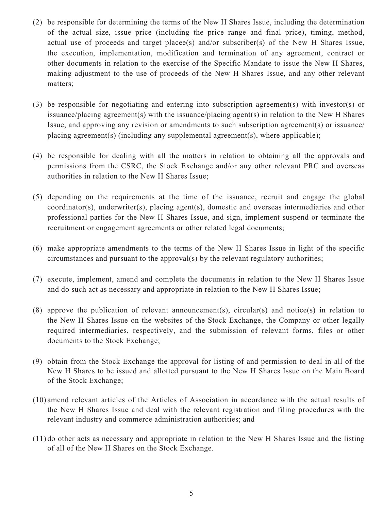- (2) be responsible for determining the terms of the New H Shares Issue, including the determination of the actual size, issue price (including the price range and final price), timing, method, actual use of proceeds and target placee(s) and/or subscriber(s) of the New H Shares Issue, the execution, implementation, modification and termination of any agreement, contract or other documents in relation to the exercise of the Specific Mandate to issue the New H Shares, making adjustment to the use of proceeds of the New H Shares Issue, and any other relevant matters;
- (3) be responsible for negotiating and entering into subscription agreement(s) with investor(s) or issuance/placing agreement(s) with the issuance/placing agent(s) in relation to the New H Shares Issue, and approving any revision or amendments to such subscription agreement(s) or issuance/ placing agreement(s) (including any supplemental agreement(s), where applicable);
- (4) be responsible for dealing with all the matters in relation to obtaining all the approvals and permissions from the CSRC, the Stock Exchange and/or any other relevant PRC and overseas authorities in relation to the New H Shares Issue;
- (5) depending on the requirements at the time of the issuance, recruit and engage the global coordinator(s), underwriter(s), placing agent(s), domestic and overseas intermediaries and other professional parties for the New H Shares Issue, and sign, implement suspend or terminate the recruitment or engagement agreements or other related legal documents;
- (6) make appropriate amendments to the terms of the New H Shares Issue in light of the specific circumstances and pursuant to the approval(s) by the relevant regulatory authorities;
- (7) execute, implement, amend and complete the documents in relation to the New H Shares Issue and do such act as necessary and appropriate in relation to the New H Shares Issue;
- (8) approve the publication of relevant announcement(s), circular(s) and notice(s) in relation to the New H Shares Issue on the websites of the Stock Exchange, the Company or other legally required intermediaries, respectively, and the submission of relevant forms, files or other documents to the Stock Exchange;
- (9) obtain from the Stock Exchange the approval for listing of and permission to deal in all of the New H Shares to be issued and allotted pursuant to the New H Shares Issue on the Main Board of the Stock Exchange;
- (10) amend relevant articles of the Articles of Association in accordance with the actual results of the New H Shares Issue and deal with the relevant registration and filing procedures with the relevant industry and commerce administration authorities; and
- (11) do other acts as necessary and appropriate in relation to the New H Shares Issue and the listing of all of the New H Shares on the Stock Exchange.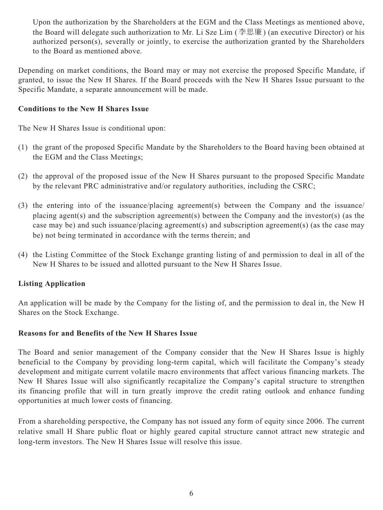Upon the authorization by the Shareholders at the EGM and the Class Meetings as mentioned above, the Board will delegate such authorization to Mr. Li Sze Lim (李思廉) (an executive Director) or his authorized person(s), severally or jointly, to exercise the authorization granted by the Shareholders to the Board as mentioned above.

Depending on market conditions, the Board may or may not exercise the proposed Specific Mandate, if granted, to issue the New H Shares. If the Board proceeds with the New H Shares Issue pursuant to the Specific Mandate, a separate announcement will be made.

# **Conditions to the New H Shares Issue**

The New H Shares Issue is conditional upon:

- (1) the grant of the proposed Specific Mandate by the Shareholders to the Board having been obtained at the EGM and the Class Meetings;
- (2) the approval of the proposed issue of the New H Shares pursuant to the proposed Specific Mandate by the relevant PRC administrative and/or regulatory authorities, including the CSRC;
- (3) the entering into of the issuance/placing agreement(s) between the Company and the issuance/ placing agent(s) and the subscription agreement(s) between the Company and the investor(s) (as the case may be) and such issuance/placing agreement(s) and subscription agreement(s) (as the case may be) not being terminated in accordance with the terms therein; and
- (4) the Listing Committee of the Stock Exchange granting listing of and permission to deal in all of the New H Shares to be issued and allotted pursuant to the New H Shares Issue.

# **Listing Application**

An application will be made by the Company for the listing of, and the permission to deal in, the New H Shares on the Stock Exchange.

## **Reasons for and Benefits of the New H Shares Issue**

The Board and senior management of the Company consider that the New H Shares Issue is highly beneficial to the Company by providing long-term capital, which will facilitate the Company's steady development and mitigate current volatile macro environments that affect various financing markets. The New H Shares Issue will also significantly recapitalize the Company's capital structure to strengthen its financing profile that will in turn greatly improve the credit rating outlook and enhance funding opportunities at much lower costs of financing.

From a shareholding perspective, the Company has not issued any form of equity since 2006. The current relative small H Share public float or highly geared capital structure cannot attract new strategic and long-term investors. The New H Shares Issue will resolve this issue.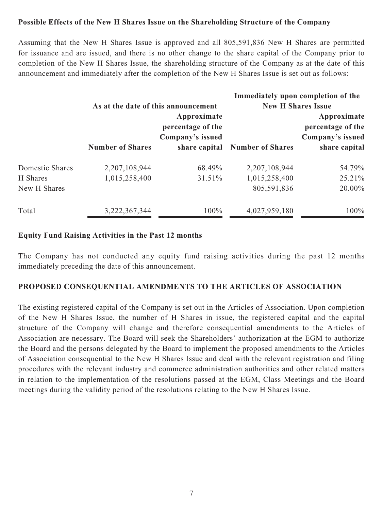# **Possible Effects of the New H Shares Issue on the Shareholding Structure of the Company**

Assuming that the New H Shares Issue is approved and all 805,591,836 New H Shares are permitted for issuance and are issued, and there is no other change to the share capital of the Company prior to completion of the New H Shares Issue, the shareholding structure of the Company as at the date of this announcement and immediately after the completion of the New H Shares Issue is set out as follows:

|                 |                         |                                                                                                              |                                                      | Immediately upon completion of the                                    |
|-----------------|-------------------------|--------------------------------------------------------------------------------------------------------------|------------------------------------------------------|-----------------------------------------------------------------------|
|                 | <b>Number of Shares</b> | As at the date of this announcement<br>Approximate<br>percentage of the<br>Company's issued<br>share capital | <b>New H Shares Issue</b><br><b>Number of Shares</b> | Approximate<br>percentage of the<br>Company's issued<br>share capital |
| Domestic Shares | 2,207,108,944           | 68.49%                                                                                                       | 2,207,108,944                                        | 54.79%                                                                |
| H Shares        | 1,015,258,400           | 31.51%                                                                                                       | 1,015,258,400                                        | 25.21%                                                                |
| New H Shares    |                         |                                                                                                              | 805,591,836                                          | 20.00%                                                                |
| Total           | 3,222,367,344           | 100%                                                                                                         | 4,027,959,180                                        | 100%                                                                  |

### **Equity Fund Raising Activities in the Past 12 months**

The Company has not conducted any equity fund raising activities during the past 12 months immediately preceding the date of this announcement.

## **PROPOSED CONSEQUENTIAL AMENDMENTS TO THE ARTICLES OF ASSOCIATION**

The existing registered capital of the Company is set out in the Articles of Association. Upon completion of the New H Shares Issue, the number of H Shares in issue, the registered capital and the capital structure of the Company will change and therefore consequential amendments to the Articles of Association are necessary. The Board will seek the Shareholders' authorization at the EGM to authorize the Board and the persons delegated by the Board to implement the proposed amendments to the Articles of Association consequential to the New H Shares Issue and deal with the relevant registration and filing procedures with the relevant industry and commerce administration authorities and other related matters in relation to the implementation of the resolutions passed at the EGM, Class Meetings and the Board meetings during the validity period of the resolutions relating to the New H Shares Issue.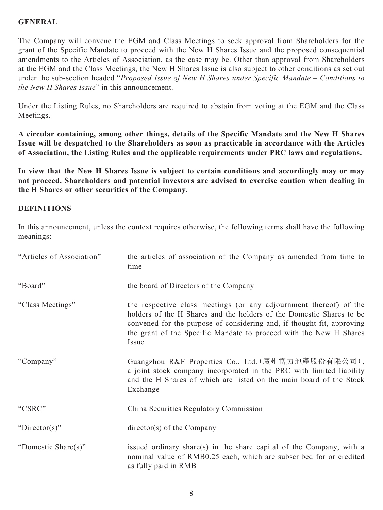# **GENERAL**

The Company will convene the EGM and Class Meetings to seek approval from Shareholders for the grant of the Specific Mandate to proceed with the New H Shares Issue and the proposed consequential amendments to the Articles of Association, as the case may be. Other than approval from Shareholders at the EGM and the Class Meetings, the New H Shares Issue is also subject to other conditions as set out under the sub-section headed "*Proposed Issue of New H Shares under Specific Mandate – Conditions to the New H Shares Issue*" in this announcement.

Under the Listing Rules, no Shareholders are required to abstain from voting at the EGM and the Class Meetings.

**A circular containing, among other things, details of the Specific Mandate and the New H Shares Issue will be despatched to the Shareholders as soon as practicable in accordance with the Articles of Association, the Listing Rules and the applicable requirements under PRC laws and regulations.**

**In view that the New H Shares Issue is subject to certain conditions and accordingly may or may not proceed, Shareholders and potential investors are advised to exercise caution when dealing in the H Shares or other securities of the Company.**

## **DEFINITIONS**

In this announcement, unless the context requires otherwise, the following terms shall have the following meanings:

| "Articles of Association" | the articles of association of the Company as amended from time to<br>time                                                                                                                                                                                                                         |
|---------------------------|----------------------------------------------------------------------------------------------------------------------------------------------------------------------------------------------------------------------------------------------------------------------------------------------------|
| "Board"                   | the board of Directors of the Company                                                                                                                                                                                                                                                              |
| "Class Meetings"          | the respective class meetings (or any adjournment thereof) of the<br>holders of the H Shares and the holders of the Domestic Shares to be<br>convened for the purpose of considering and, if thought fit, approving<br>the grant of the Specific Mandate to proceed with the New H Shares<br>Issue |
| "Company"                 | Guangzhou R&F Properties Co., Ltd. (廣州富力地產股份有限公司),<br>a joint stock company incorporated in the PRC with limited liability<br>and the H Shares of which are listed on the main board of the Stock<br>Exchange                                                                                      |
| "CSRC"                    | China Securities Regulatory Commission                                                                                                                                                                                                                                                             |
| "Director(s)"             | director(s) of the Company                                                                                                                                                                                                                                                                         |
| "Domestic Share(s)"       | issued ordinary share(s) in the share capital of the Company, with a<br>nominal value of RMB0.25 each, which are subscribed for or credited<br>as fully paid in RMB                                                                                                                                |